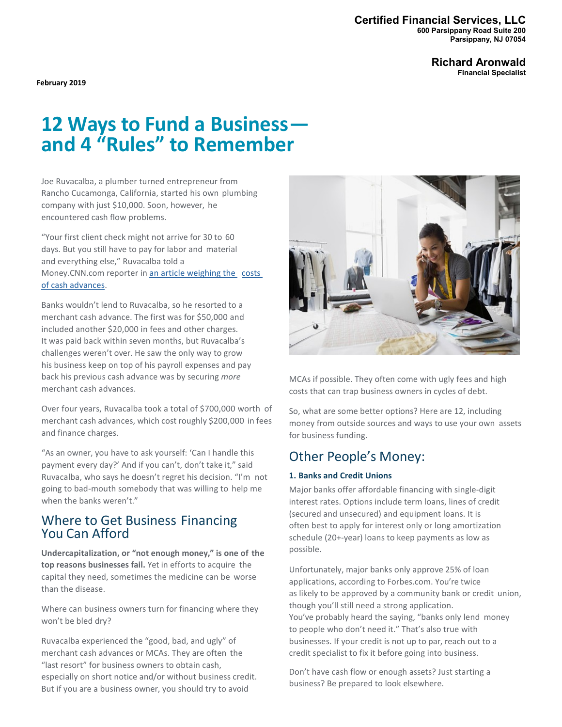#### **Certified Financial Services, LLC 600 Parsippany Road Suite 200 Parsippany, NJ 07054**

**Richard Aronwald Financial Specialist**

**February 2019**

# **<sup>12</sup> Ways to Fund a Business— and 4 "Rules" to Remember**

Joe Ruvacalba, a plumber turned entrepreneur from Rancho Cucamonga, California, started his own plumbing company with just \$10,000. Soon, however, he encountered cash flow problems.

"Your first client check might not arrive for 30 to 60 days. But you still have to pay for labor and material and everything else," Ruvacalba told a Money.CNN.com reporter in an article [weighing](https://money.cnn.com/2016/12/01/news/economy/merchant-cash-advance/index.html) the costs [of cash advances.](https://money.cnn.com/2016/12/01/news/economy/merchant-cash-advance/index.html)

Banks wouldn't lend to Ruvacalba, so he resorted to a merchant cash advance. The first was for \$50,000 and included another \$20,000 in fees and other charges. It was paid back within seven months, but Ruvacalba's challenges weren't over. He saw the only way to grow his business keep on top of his payroll expenses and pay back his previous cash advance was by securing *more* merchant cash advances.

Over four years, Ruvacalba took a total of \$700,000 worth of merchant cash advances, which cost roughly \$200,000 in fees and finance charges.

"As an owner, you have to ask yourself: 'Can I handle this payment every day?' And if you can't, don't take it," said Ruvacalba, who says he doesn't regret his decision. "I'm not going to bad-mouth somebody that was willing to help me when the banks weren't."

## Where to Get Business Financing You Can Afford

**Undercapitalization, or "not enough money," is one of the top reasons businesses fail.** Yet in efforts to acquire the capital they need, sometimes the medicine can be worse than the disease.

Where can business owners turn for financing where they won't be bled dry?

Ruvacalba experienced the "good, bad, and ugly" of merchant cash advances or MCAs. They are often the "last resort" for business owners to obtain cash, especially on short notice and/or without business credit. But if you are a business owner, you should try to avoid



MCAs if possible. They often come with ugly fees and high costs that can trap business owners in cycles of debt.

So, what are some better options? Here are 12, including money from outside sources and ways to use your own assets for business funding.

## Other People's Money:

#### **1. Banks and Credit Unions**

Major banks offer affordable financing with single-digit interest rates. Options include term loans, lines of credit (secured and unsecured) and equipment loans. It is often best to apply for interest only or long amortization schedule (20+-year) loans to keep payments as low as possible.

Unfortunately, major banks only approve 25% of loan applications, according to Forbes.com. You're twice as likely to be approved by a community bank or credit union, though you'll still need a strong application. You've probably heard the saying, "banks only lend money to people who don't need it." That's also true with businesses. If your credit is not up to par, reach out to a credit specialist to fix it before going into business.

Don't have cash flow or enough assets? Just starting a business? Be prepared to look elsewhere.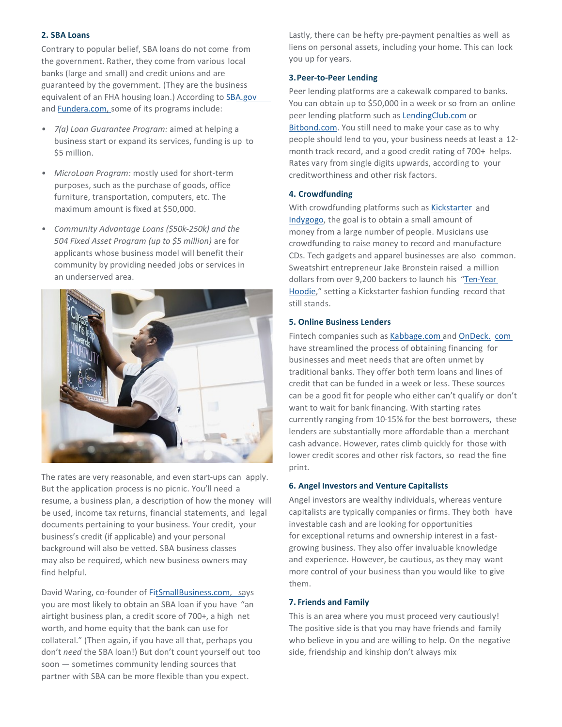#### **2. SBA Loans**

Contrary to popular belief, SBA loans do not come from the government. Rather, they come from various local banks (large and small) and credit unions and are guaranteed by the government. (They are the business equivalent of an FHA housing loan.) According to [SBA.gov](http://sba.gov/) and **[Fundera.com,](http://fundera.com/) some of its programs include:** 

- *• 7(a) Loan Guarantee Program:* aimed at helping a business start or expand its services, funding is up to \$5 million.
- *• MicroLoan Program:* mostly used for short-term purposes, such as the purchase of goods, office furniture, transportation, computers, etc. The maximum amount is fixed at \$50,000.
- *• Community Advantage Loans (\$50k-250k) and the 504 Fixed Asset Program (up to \$5 million)* are for applicants whose business model will benefit their community by providing needed jobs or services in an underserved area.



The rates are very reasonable, and even start-ups can apply. But the application process is no picnic. You'll need a resume, a business plan, a description of how the money will be used, income tax returns, financial statements, and legal documents pertaining to your business. Your credit, your business's credit (if applicable) and your personal background will also be vetted. SBA business classes may also be required, which new business owners may find helpful.

David Waring, co-founder of [FitSmallBusiness.com,](http://fitsmallbusiness.com/) says you are most likely to obtain an SBA loan if you have "an airtight business plan, a credit score of 700+, a high net worth, and home equity that the bank can use for collateral." (Then again, if you have all that, perhaps you don't *need* the SBA loan!) But don't count yourself out too soon — sometimes community lending sources that partner with SBA can be more flexible than you expect.

Lastly, there can be hefty pre-payment penalties as well as liens on personal assets, including your home. This can lock you up for years.

#### **3.Peer-to-Peer Lending**

Peer lending platforms are a cakewalk compared to banks. You can obtain up to \$50,000 in a week or so from an online peer lending platform such as [LendingClub.com](http://lendingclub.com/) or [Bitbond.com.](http://bitbond.com/) You still need to make your case as to why people should lend to you, your business needs at least a 12 month track record, and a good credit rating of 700+ helps. Rates vary from single digits upwards, according to your creditworthiness and other risk factors.

#### **4. Crowdfunding**

With crowdfunding platforms such as [Kickstarter](http://kickstarter.com/) and [Indygogo,](http://indygogo.com/) the goal is to obtain a small amount of money from a large number of people. Musicians use crowdfunding to raise money to record and manufacture CDs. Tech gadgets and apparel businesses are also common. Sweatshirt entrepreneur Jake Bronstein raised a million dollars from over 9,200 backers to launch his ["Ten-Year](https://www.kickstarter.com/projects/jakehimself/the-10-year-hoodie-built-for-life-backed-for-a-dec) [Hoodie,"](https://www.kickstarter.com/projects/jakehimself/the-10-year-hoodie-built-for-life-backed-for-a-dec) setting a Kickstarter fashion funding record that still stands.

#### **5. Online Business Lenders**

Fintech companies such as [Kabbage.com a](http://kabbage.com/)nd [OnDeck.](http://ondeck.com/) [com](http://ondeck.com/) have streamlined the process of obtaining financing for businesses and meet needs that are often unmet by traditional banks. They offer both term loans and lines of credit that can be funded in a week or less. These sources can be a good fit for people who either can't qualify or don't want to wait for bank financing. With starting rates currently ranging from 10-15% for the best borrowers, these lenders are substantially more affordable than a merchant cash advance. However, rates climb quickly for those with lower credit scores and other risk factors, so read the fine print.

#### **6. Angel Investors and Venture Capitalists**

Angel investors are wealthy individuals, whereas venture capitalists are typically companies or firms. They both have investable cash and are looking for opportunities for exceptional returns and ownership interest in a fastgrowing business. They also offer invaluable knowledge and experience. However, be cautious, as they may want more control of your business than you would like to give them.

#### **7. Friends and Family**

This is an area where you must proceed very cautiously! The positive side is that you may have friends and family who believe in you and are willing to help. On the negative side, friendship and kinship don't always mix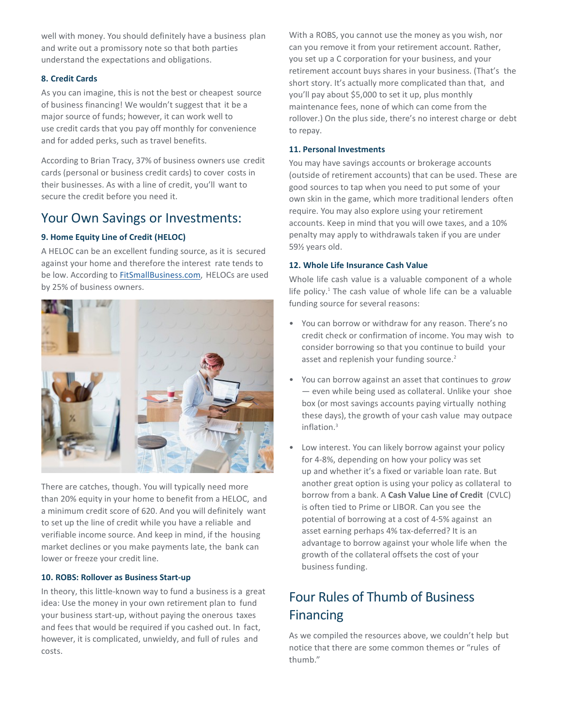well with money. You should definitely have a business plan and write out a promissory note so that both parties understand the expectations and obligations.

#### **8. Credit Cards**

As you can imagine, this is not the best or cheapest source of business financing! We wouldn't suggest that it be a major source of funds; however, it can work well to use credit cards that you pay off monthly for convenience and for added perks, such as travel benefits.

According to Brian Tracy, 37% of business owners use credit cards (personal or business credit cards) to cover costs in their businesses. As with a line of credit, you'll want to secure the credit before you need it.

## Your Own Savings or Investments:

#### **9. Home Equity Line of Credit (HELOC)**

A HELOC can be an excellent funding source, as it is secured against your home and therefore the interest rate tends to be low. According to **FitSmallBusiness.com**, HELOCs are used by 25% of business owners.



There are catches, though. You will typically need more than 20% equity in your home to benefit from a HELOC, and a minimum credit score of 620. And you will definitely want to set up the line of credit while you have a reliable and verifiable income source. And keep in mind, if the housing market declines or you make payments late, the bank can lower or freeze your credit line.

#### **10. ROBS: Rollover as Business Start-up**

In theory, this little-known way to fund a business is a great idea: Use the money in your own retirement plan to fund your business start-up, without paying the onerous taxes and fees that would be required if you cashed out. In fact, however, it is complicated, unwieldy, and full of rules and costs.

With a ROBS, you cannot use the money as you wish, nor can you remove it from your retirement account. Rather, you set up a C corporation for your business, and your retirement account buys shares in your business. (That's the short story. It's actually more complicated than that, and you'll pay about \$5,000 to set it up, plus monthly maintenance fees, none of which can come from the rollover.) On the plus side, there's no interest charge or debt to repay.

#### **11. Personal Investments**

You may have savings accounts or brokerage accounts (outside of retirement accounts) that can be used. These are good sources to tap when you need to put some of your own skin in the game, which more traditional lenders often require. You may also explore using your retirement accounts. Keep in mind that you will owe taxes, and a 10% penalty may apply to withdrawals taken if you are under 59½ years old.

#### **12. Whole Life Insurance Cash Value**

Whole life cash value is a valuable component of a whole life policy.<sup>1</sup> The cash value of whole life can be a valuable funding source for several reasons:

- You can borrow or withdraw for any reason. There's no credit check or confirmation of income. You may wish to consider borrowing so that you continue to build your asset and replenish your funding source.<sup>2</sup>
- You can borrow against an asset that continues to *grow* — even while being used as collateral. Unlike your shoe box (or most savings accounts paying virtually nothing these days), the growth of your cash value may outpace inflation.3
- Low interest. You can likely borrow against your policy for 4-8%, depending on how your policy was set up and whether it's a fixed or variable loan rate. But another great option is using your policy as collateral to borrow from a bank. A **Cash Value Line of Credit** (CVLC) is often tied to Prime or LIBOR. Can you see the potential of borrowing at a cost of 4-5% against an asset earning perhaps 4% tax-deferred? It is an advantage to borrow against your whole life when the growth of the collateral offsets the cost of your business funding.

## Four Rules of Thumb of Business Financing

As we compiled the resources above, we couldn't help but notice that there are some common themes or "rules of thumb."